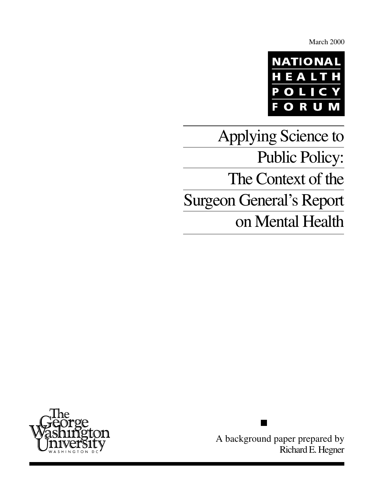March 2000



Applying Science to Public Policy: The Context of the Surgeon General's Report on Mental Health



A background paper prepared by Richard E. Hegner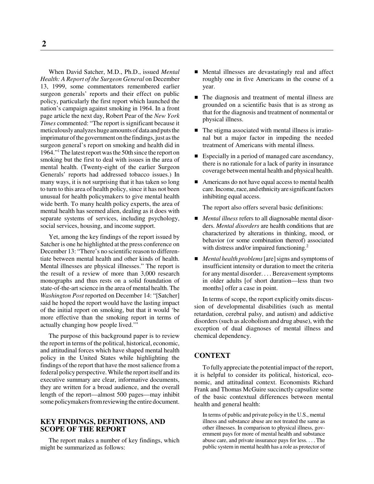When David Satcher, M.D., Ph.D., issued *Mental Health: A Report of the Surgeon General* on December 13, 1999, some commentators remembered earlier surgeon generals' reports and their effect on public policy, particularly the first report which launched the nation's campaign against smoking in 1964. In a front page article the next day, Robert Pear of the *New York Times* commented: "The report is significant because it meticulously analyzes huge amounts of data and puts the imprimatur of the government on the findings, just as the surgeon general's report on smoking and health did in 1964."1 The latest report was the 50th since the report on smoking but the first to deal with issues in the area of mental health. (Twenty-eight of the earlier Surgeon Generals' reports had addressed tobacco issues.) In many ways, it is not surprising that it has taken so long to turn to this area of health policy, since it has not been unusual for health policymakers to give mental health wide berth. To many health policy experts, the area of mental health has seemed alien, dealing as it does with separate systems of services, including psychology, social services, housing, and income support.

Yet, among the key findings of the report issued by Satcher is one he highlighted at the press conference on December 13: "There's no scientific reason to differentiate between mental health and other kinds of health. Mental illnesses are physical illnesses." The report is the result of a review of more than 3,000 research monographs and thus rests on a solid foundation of state-of-the-art science in the area of mental health. The *Washington Post* reported on December 14: "[Satcher] said he hoped the report would have the lasting impact of the initial report on smoking, but that it would 'be more effective than the smoking report in terms of actually changing how people lived.'"

The purpose of this background paper is to review the report in terms of the political, historical, economic, and attitudinal forces which have shaped mental health policy in the United States while highlighting the findings of the report that have the most salience from a federal policy perspective. While the report itself and its executive summary are clear, informative documents, they are written for a broad audience, and the overall length of the report—almost 500 pages—may inhibit some policymakers from reviewing the entire document.

# **KEY FINDINGS, DEFINITIONS, AND SCOPE OF THE REPORT**

The report makes a number of key findings, which might be summarized as follows:

- Mental illnesses are devastatingly real and affect roughly one in five Americans in the course of a year.
- The diagnosis and treatment of mental illness are grounded on a scientific basis that is as strong as that for the diagnosis and treatment of nonmental or physical illness.
- The stigma associated with mental illness is irrational but a major factor in impeding the needed treatment of Americans with mental illness.
- Especially in a period of managed care ascendancy, there is no rationale for a lack of parity in insurance coverage between mental health and physical health.
- Americans do not have equal access to mental health care. Income, race, and ethnicity are significant factors inhibiting equal access.

The report also offers several basic definitions:

- *Mental illness* refers to all diagnosable mental disorders. *Mental disorders* are health conditions that are characterized by alterations in thinking, mood, or behavior (or some combination thereof) associated with distress and/or impaired functioning. $^{2}$
- *Mental health problems* [are] signs and symptoms of insufficient intensity or duration to meet the criteria for any mental disorder. . . . Bereavement symptoms in older adults [of short duration—less than two months] offer a case in point.

In terms of scope, the report explicitly omits discussion of developmental disabilities (such as mental retardation, cerebral palsy, and autism) and addictive disorders (such as alcoholism and drug abuse), with the exception of dual diagnoses of mental illness and chemical dependency.

# **CONTEXT**

To fully appreciate the potential impact of the report, it is helpful to consider its political, historical, economic, and attitudinal context. Economists Richard Frank and Thomas McGuire succinctly capsulize some of the basic contextual differences between mental health and general health:

In terms of public and private policy in the U.S., mental illness and substance abuse are not treated the same as other illnesses. In comparison to physical illness, government pays for more of mental health and substance abuse care, and private insurance pays for less. . . . The public system in mental health has a role as protector of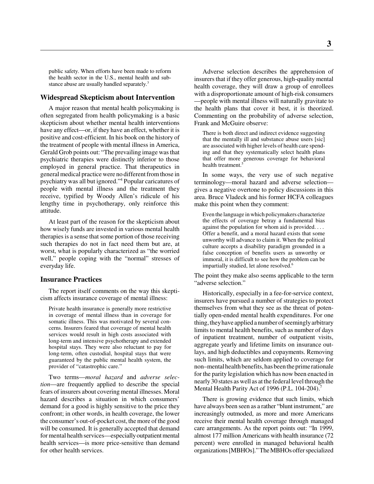public safety. When efforts have been made to reform the health sector in the U.S., mental health and substance abuse are usually handled separately.<sup>3</sup>

#### **Widespread Skepticism about Intervention**

A major reason that mental health policymaking is often segregated from health policymaking is a basic skepticism about whether mental health interventions have any effect—or, if they have an effect, whether it is positive and cost-efficient. In his book on the history of the treatment of people with mental illness in America, Gerald Grob points out: "The prevailing image was that psychiatric therapies were distinctly inferior to those employed in general practice. That therapeutics in general medical practice were no different from those in psychiatry was all but ignored."4 Popular caricatures of people with mental illness and the treatment they receive, typified by Woody Allen's ridicule of his lengthy time in psychotherapy, only reinforce this attitude.

At least part of the reason for the skepticism about how wisely funds are invested in various mental health therapies is a sense that some portion of those receiving such therapies do not in fact need them but are, at worst, what is popularly characterized as "the worried well," people coping with the "normal" stresses of everyday life.

#### **Insurance Practices**

The report itself comments on the way this skepticism affects insurance coverage of mental illness:

Private health insurance is generally more restrictive in coverage of mental illness than in coverage for somatic illness. This was motivated by several concerns. Insurers feared that coverage of mental health services would result in high costs associated with long-term and intensive psychotherapy and extended hospital stays. They were also reluctant to pay for long-term, often custodial, hospital stays that were guaranteed by the public mental health system, the provider of "catastrophic care."

Two terms—*moral hazard* and *adverse selection*—are frequently applied to describe the special fears of insurers about covering mental illnesses. Moral hazard describes a situation in which consumers' demand for a good is highly sensitive to the price they confront; in other words, in health coverage, the lower the consumer's out-of-pocket cost, the more of the good will be consumed. It is generally accepted that demand for mental health services—especially outpatient mental health services—is more price-sensitive than demand for other health services.

Adverse selection describes the apprehension of insurers that if they offer generous, high-quality mental health coverage, they will draw a group of enrollees with a disproportionate amount of high-risk consumers —people with mental illness will naturally gravitate to the health plans that cover it best, it is theorized. Commenting on the probability of adverse selection, Frank and McGuire observe:

There is both direct and indirect evidence suggesting that the mentally ill and substance abuse users [sic] are associated with higher levels of health care spending and that they systematically select health plans that offer more generous coverage for behavioral health treatment.<sup>5</sup>

In some ways, the very use of such negative terminology—moral hazard and adverse selection gives a negative overtone to policy discussions in this area. Bruce Vladeck and his former HCFA colleagues make this point when they comment:

Even the language in which policymakers characterize the effects of coverage betray a fundamental bias against the population for whom aid is provided. . . . Offer a benefit, and a moral hazard exists that some unworthy will advance to claim it. When the political culture accepts a disability paradigm grounded in a false conception of benefits users as unworthy or immoral, it is difficult to see how the problem can be impartially studied, let alone resolved.<sup>6</sup>

The point they make also seems applicable to the term "adverse selection."

Historically, especially in a fee-for-service context, insurers have pursued a number of strategies to protect themselves from what they see as the threat of potentially open-ended mental health expenditures. For one thing, they have applied a number of seemingly arbitrary limits to mental health benefits, such as number of days of inpatient treatment, number of outpatient visits, aggregate yearly and lifetime limits on insurance outlays, and high deductibles and copayments. Removing such limits, which are seldom applied to coverage for non–mental health benefits, has been the prime rationale for the parity legislation which has now been enacted in nearly 30 states as well as at the federal level through the Mental Health Parity Act of 1996 (P.L. 104-204).<sup>7</sup>

There is growing evidence that such limits, which have always been seen as a rather "blunt instrument," are increasingly outmoded, as more and more Americans receive their mental health coverage through managed care arrangements. As the report points out: "In 1999, almost 177 million Americans with health insurance (72 percent) were enrolled in managed behavioral health organizations [MBHOs]." The MBHOs offer specialized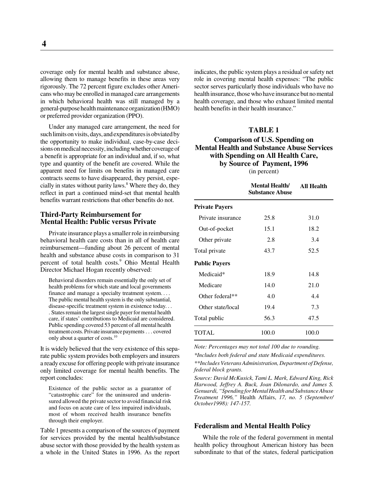coverage only for mental health and substance abuse, allowing them to manage benefits in these areas very rigorously. The 72 percent figure excludes other Americans who may be enrolled in managed care arrangements in which behavioral health was still managed by a general-purpose health maintenance organization (HMO) or preferred provider organization (PPO).

Under any managed care arrangement, the need for such limits on visits, days, and expenditures is obviated by the opportunity to make individual, case-by-case decisions on medical necessity, including whether coverage of a benefit is appropriate for an individual and, if so, what type and quantity of the benefit are covered. While the apparent need for limits on benefits in managed care contracts seems to have disappeared, they persist, especially in states without parity laws.<sup>8</sup> Where they do, they reflect in part a continued mind-set that mental health benefits warrant restrictions that other benefits do not.

### **Third-Party Reimbursement for Mental Health: Public versus Private**

Private insurance plays a smaller role in reimbursing behavioral health care costs than in all of health care reimbursement—funding about 26 percent of mental health and substance abuse costs in comparison to 31 percent of total health costs.<sup>9</sup> Ohio Mental Health Director Michael Hogan recently observed:

Behavioral disorders remain essentially the only set of health problems for which state and local governments finance and manage a specialty treatment system.... The public mental health system is the only substantial, disease-specific treatment system in existence today. . . . States remain the largest single payer for mental health care, if states' contributions to Medicaid are considered. . Public spending covered 53 percent of all mental health treatment costs. Private insurance payments . . . covered only about a quarter of costs.<sup>10</sup>

It is widely believed that the very existence of this separate public system provides both employers and insurers a ready excuse for offering people with private insurance only limited coverage for mental health benefits. The report concludes:

Existence of the public sector as a guarantor of "catastrophic care" for the uninsured and underinsured allowed the private sector to avoid financial risk and focus on acute care of less impaired individuals, most of whom received health insurance benefits through their employer.

Table 1 presents a comparison of the sources of payment for services provided by the mental health/substance abuse sector with those provided by the health system as a whole in the United States in 1996. As the report

indicates, the public system plays a residual or safety net role in covering mental health expenses: "The public sector serves particularly those individuals who have no health insurance, those who have insurance but no mental health coverage, and those who exhaust limited mental health benefits in their health insurance."

# **TABLE 1**

# **Comparison of U.S. Spending on Mental Health and Substance Abuse Services with Spending on All Health Care, by Source of Payment, 1996** (in percent)

|                       | <b>Mental Health/</b><br><b>Substance Abuse</b> | All Health |
|-----------------------|-------------------------------------------------|------------|
| <b>Private Payers</b> |                                                 |            |
| Private insurance     | 25.8                                            | 31.0       |
| Out-of-pocket         | 15.1                                            | 18.2       |
| Other private         | 2.8                                             | 3.4        |
| Total private         | 43.7                                            | 52.5       |
| <b>Public Payers</b>  |                                                 |            |
| Medicaid*             | 18.9                                            | 14.8       |
| Medicare              | 14.0                                            | 21.0       |
| Other federal**       | 4.0                                             | 4.4        |
| Other state/local     | 19.4                                            | 7.3        |
| Total public          | 56.3                                            | 47.5       |
| TOTAL                 | 100.0                                           | 100.0      |

*Note: Percentages may not total 100 due to rounding.*

*\*Includes both federal and state Medicaid expenditures.*

*\*\*Includes Veterans Administration, Department of Defense, federal block grants.*

*Source: David McKusick, Tami L. Mark, Edward King, Rick Harwood, Jeffrey A. Buck, Joan Dilonardo, and James S. Genuardi, "Spending for Mental Health and Substance Abuse Treatment 1996,"* Health Affairs, *17, no. 5 (September/ October1998): 147-157.*

# **Federalism and Mental Health Policy**

While the role of the federal government in mental health policy throughout American history has been subordinate to that of the states, federal participation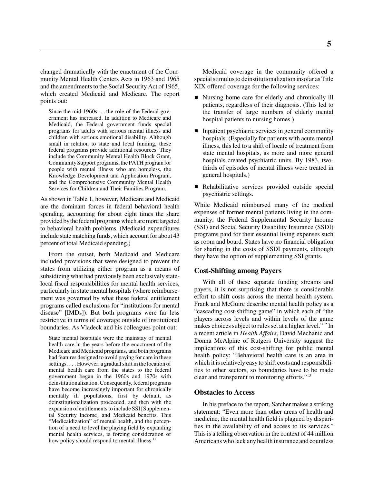changed dramatically with the enactment of the Community Mental Health Centers Acts in 1963 and 1965 and the amendments to the Social Security Act of 1965, which created Medicaid and Medicare. The report points out:

Since the mid-1960s . . . the role of the Federal government has increased. In addition to Medicare and Medicaid, the Federal government funds special programs for adults with serious mental illness and children with serious emotional disability. Although small in relation to state and local funding, these federal programs provide additional resources. They include the Community Mental Health Block Grant, Community Support programs, the PATH program for people with mental illness who are homeless, the Knowledge Development and Application Program, and the Comprehensive Community Mental Health Services for Children and Their Families Program.

As shown in Table 1, however, Medicare and Medicaid are the dominant forces in federal behavioral health spending, accounting for about eight times the share provided by the federal programs which are more targeted to behavioral health problems. (Medicaid expenditures include state matching funds, which account for about 43 percent of total Medicaid spending.)

From the outset, both Medicaid and Medicare included provisions that were designed to prevent the states from utilizing either program as a means of subsidizing what had previously been exclusively statelocal fiscal responsibilities for mental health services, particularly in state mental hospitals (where reimbursement was governed by what these federal entitlement programs called exclusions for "institutions for mental disease" [IMDs]). But both programs were far less restrictive in terms of coverage outside of institutional boundaries. As Vladeck and his colleagues point out:

State mental hospitals were the mainstay of mental health care in the years before the enactment of the Medicare and Medicaid programs, and both programs had features designed to avoid paying for care in these settings. . . . However, a gradual shift in the location of mental health care from the states to the federal government began in the 1960s and 1970s with deinstitutionalization. Consequently, federal programs have become increasingly important for chronically mentally ill populations, first by default, as deinstitutionalization proceeded, and then with the expansion of entitlements to include SSI [Supplemental Security Income] and Medicaid benefits. This "Medicaidization" of mental health, and the perception of a need to level the playing field by expanding mental health services, is forcing consideration of how policy should respond to mental illness.<sup>11</sup>

Medicaid coverage in the community offered a special stimulus to deinstitutionalization insofar as Title XIX offered coverage for the following services:

- Nursing home care for elderly and chronically ill patients, regardless of their diagnosis. (This led to the transfer of large numbers of elderly mental hospital patients to nursing homes.)
- **Inpatient psychiatric services in general community** hospitals. (Especially for patients with acute mental illness, this led to a shift of locale of treatment from state mental hospitals, as more and more general hospitals created psychiatric units. By 1983, twothirds of episodes of mental illness were treated in general hospitals.)
- Rehabilitative services provided outside special psychiatric settings.

While Medicaid reimbursed many of the medical expenses of former mental patients living in the community, the Federal Supplemental Security Income (SSI) and Social Security Disability Insurance (SSDI) programs paid for their essential living expenses such as room and board. States have no financial obligation for sharing in the costs of SSDI payments, although they have the option of supplementing SSI grants.

# **Cost-Shifting among Payers**

With all of these separate funding streams and payers, it is not surprising that there is considerable effort to shift costs across the mental health system. Frank and McGuire describe mental health policy as a "cascading cost-shifting game" in which each of "the players across levels and within levels of the game makes choices subject to rules set at a higher level."12 In a recent article in *Health Affairs*, David Mechanic and Donna McAlpine of Rutgers University suggest the implications of this cost-shifting for public mental health policy: "Behavioral health care is an area in which it is relatively easy to shift costs and responsibilities to other sectors, so boundaries have to be made clear and transparent to monitoring efforts."13

#### **Obstacles to Access**

In his preface to the report, Satcher makes a striking statement: "Even more than other areas of health and medicine, the mental health field is plagued by disparities in the availability of and access to its services." This is a telling observation in the context of 44 million Americans who lack any health insurance and countless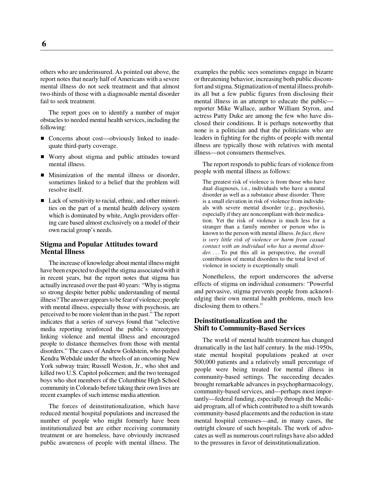others who are underinsured. As pointed out above, the report notes that nearly half of Americans with a severe mental illness do not seek treatment and that almost two-thirds of those with a diagnosable mental disorder fail to seek treatment.

The report goes on to identify a number of major obstacles to needed mental health services, including the following:

- Concerns about cost—obviously linked to inadequate third-party coverage.
- Worry about stigma and public attitudes toward mental illness.
- **Minimization of the mental illness or disorder,** sometimes linked to a belief that the problem will resolve itself.
- Lack of sensitivity to racial, ethnic, and other minorities on the part of a mental health delivery system which is dominated by white, Anglo providers offering care based almost exclusively on a model of their own racial group's needs.

### **Stigma and Popular Attitudes toward Mental Illness**

The increase of knowledge about mental illness might have been expected to dispel the stigma associated with it in recent years, but the report notes that stigma has actually increased over the past 40 years: "Why is stigma so strong despite better public understanding of mental illness? The answer appears to be fear of violence; people with mental illness, especially those with psychosis, are perceived to be more violent than in the past." The report indicates that a series of surveys found that "selective media reporting reinforced the public's stereotypes linking violence and mental illness and encouraged people to distance themselves from those with mental disorders." The cases of Andrew Goldstein, who pushed Kendra Webdale under the wheels of an oncoming New York subway train; Russell Weston, Jr., who shot and killed two U.S. Capitol policemen; and the two teenaged boys who shot members of the Columbine High School community in Colorado before taking their own lives are recent examples of such intense media attention.

The forces of deinstitutionalization, which have reduced mental hospital populations and increased the number of people who might formerly have been institutionalized but are either receiving community treatment or are homeless, have obviously increased public awareness of people with mental illness. The

examples the public sees sometimes engage in bizarre or threatening behavior, increasing both public discomfort and stigma. Stigmatization of mental illness prohibits all but a few public figures from disclosing their mental illness in an attempt to educate the public reporter Mike Wallace, author William Styron, and actress Patty Duke are among the few who have disclosed their conditions. It is perhaps noteworthy that none is a politician and that the politicians who are leaders in fighting for the rights of people with mental illness are typically those with relatives with mental illness—not consumers themselves.

The report responds to public fears of violence from people with mental illness as follows:

The greatest risk of violence is from those who have dual diagnoses, i.e., individuals who have a mental disorder as well as a substance abuse disorder. There is a small elevation in risk of violence from individuals with severe mental disorder (e.g., psychosis), especially if they are noncompliant with their medication. Yet the risk of violence is much less for a stranger than a family member or person who is known to the person with mental illness. *In fact, there is very little risk of violence or harm from casual contact with an individual who has a mental disorder. . . .* To put this all in perspective, the overall contribution of mental disorders to the total level of violence in society is exceptionally small.

Nonetheless, the report underscores the adverse effects of stigma on individual consumers: "Powerful and pervasive, stigma prevents people from acknowledging their own mental health problems, much less disclosing them to others."

# **Deinstitutionalization and the Shift to Community-Based Services**

The world of mental health treatment has changed dramatically in the last half century. In the mid-1950s, state mental hospital populations peaked at over 500,000 patients and a relatively small percentage of people were being treated for mental illness in community-based settings. The succeeding decades brought remarkable advances in psychopharmacology, community-based services, and—perhaps most importantly—federal funding, especially through the Medicaid program, all of which contributed to a shift towards community-based placements and the reduction in state mental hospital censuses—and, in many cases, the outright closure of such hospitals. The work of advocates as well as numerous court rulings have also added to the pressures in favor of deinstitutionalization.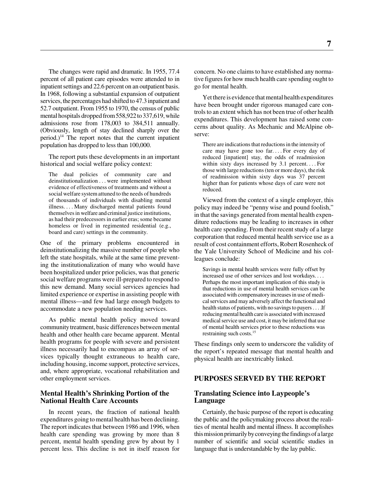The changes were rapid and dramatic. In 1955, 77.4 percent of all patient care episodes were attended to in inpatient settings and 22.6 percent on an outpatient basis. In 1968, following a substantial expansion of outpatient services, the percentages had shifted to 47.3 inpatient and 52.7 outpatient. From 1955 to 1970, the census of public mental hospitals dropped from 558,922 to 337,619, while admissions rose from 178,003 to 384,511 annually. (Obviously, length of stay declined sharply over the period.) $14$  The report notes that the current inpatient population has dropped to less than 100,000.

The report puts these developments in an important historical and social welfare policy context:

The dual policies of community care and deinstitutionalization . . . were implemented without evidence of effectiveness of treatments and without a social welfare system attuned to the needs of hundreds of thousands of individuals with disabling mental illness. . . . Many discharged mental patients found themselves in welfare and criminal justice institutions, as had their predecessors in earlier eras; some became homeless or lived in regimented residential (e.g., board and care) settings in the community.

One of the primary problems encountered in deinstitutionalizing the massive number of people who left the state hospitals, while at the same time preventing the institutionalization of many who would have been hospitalized under prior policies, was that generic social welfare programs were ill-prepared to respond to this new demand. Many social services agencies had limited experience or expertise in assisting people with mental illness—and few had large enough budgets to accommodate a new population needing services.

As public mental health policy moved toward community treatment, basic differences between mental health and other health care became apparent. Mental health programs for people with severe and persistent illness necessarily had to encompass an array of services typically thought extraneous to health care, including housing, income support, protective services, and, where appropriate, vocational rehabilitation and other employment services.

#### **Mental Health's Shrinking Portion of the National Health Care Accounts**

In recent years, the fraction of national health expenditures going to mental health has been declining. The report indicates that between 1986 and 1996, when health care spending was growing by more than 8 percent, mental health spending grew by about by 1 percent less. This decline is not in itself reason for

concern. No one claims to have established any normative figures for how much health care spending ought to go for mental health.

Yet there is evidence that mental health expenditures have been brought under rigorous managed care controls to an extent which has not been true of other health expenditures. This development has raised some concerns about quality. As Mechanic and McAlpine observe:

There are indications that reductions in the intensity of care may have gone too far. . . . For every day of reduced [inpatient] stay, the odds of readmission within sixty days increased by 3.1 percent.... For those with large reductions (ten or more days), the risk of readmission within sixty days was 37 percent higher than for patients whose days of care were not reduced.

Viewed from the context of a single employer, this policy may indeed be "penny wise and pound foolish," in that the savings generated from mental health expenditure reductions may be leading to increases in other health care spending. From their recent study of a large corporation that reduced mental health service use as a result of cost containment efforts, Robert Rosenheck of the Yale University School of Medicine and his colleagues conclude:

Savings in mental health services were fully offset by increased use of other services and lost workdays. . . . Perhaps the most important implication of this study is that reductions in use of mental health services can be associated with compensatory increases in use of medical services and may adversely affect the functional and health status of patients, with no savings to payers . . . If reducing mental health care is associated with increased medical service use and cost, it may be inferred that use of mental health services prior to these reductions was restraining such costs.15

These findings only seem to underscore the validity of the report's repeated message that mental health and physical health are inextricably linked.

# **PURPOSES SERVED BY THE REPORT**

# **Translating Science into Laypeople's Language**

Certainly, the basic purpose of the report is educating the public and the policymaking process about the realities of mental health and mental illness. It accomplishes this mission primarily by conveying the findings of a large number of scientific and social scientific studies in language that is understandable by the lay public.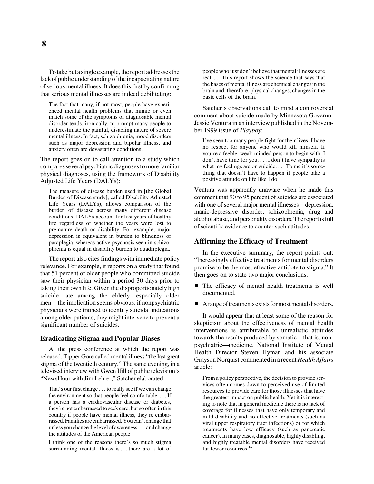To take but a single example, the report addresses the lack of public understanding of the incapacitating nature of serious mental illness. It does this first by confirming that serious mental illnesses are indeed debilitating:

The fact that many, if not most, people have experienced mental health problems that mimic or even match some of the symptoms of diagnosable mental disorder tends, ironically, to prompt many people to underestimate the painful, disabling nature of severe mental illness. In fact, schizophrenia, mood disorders such as major depression and bipolar illness, and anxiety often are devastating conditions.

The report goes on to call attention to a study which compares several psychiatric diagnoses to more familiar physical diagnoses, using the framework of Disability Adjusted Life Years (DALYs):

The measure of disease burden used in [the Global Burden of Disease study], called Disability Adjusted Life Years (DALYs), allows comparison of the burden of disease across many different disease conditions. DALYs account for lost years of healthy life regardless of whether the years were lost to premature death or disability. For example, major depression is equivalent in burden to blindness or paraplegia, whereas active psychosis seen in schizophrenia is equal in disability burden to quadriplegia.

The report also cites findings with immediate policy relevance. For example, it reports on a study that found that 51 percent of older people who committed suicide saw their physician within a period 30 days prior to taking their own life. Given the disproportionately high suicide rate among the elderly—especially older men—the implication seems obvious: if nonpsychiatric physicians were trained to identify suicidal indications among older patients, they might intervene to prevent a significant number of suicides.

#### **Eradicating Stigma and Popular Biases**

At the press conference at which the report was released, Tipper Gore called mental illness "the last great stigma of the twentieth century." The same evening, in a televised interview with Gwen Ifill of public television's "NewsHour with Jim Lehrer," Satcher elaborated:

That's our first charge . . . to really see if we can change the environment so that people feel comfortable. . . . If a person has a cardiovascular disease or diabetes, they're not embarrassed to seek care, but so often in this country if people have mental illness, they're embarrassed. Families are embarrassed. You can't change that unless you change the level of awareness . . . and change the attitudes of the American people.

I think one of the reasons there's so much stigma surrounding mental illness is . . . there are a lot of people who just don't believe that mental illnesses are real. . . . This report shows the science that says that the bases of mental illness are chemical changes in the brain and, therefore, physical changes, changes in the basic cells of the brain.

Satcher's observations call to mind a controversial comment about suicide made by Minnesota Governor Jessie Ventura in an interview published in the November 1999 issue of *Playboy*:

I've seen too many people fight for their lives. I have no respect for anyone who would kill himself. If you're a feeble, weak-minded person to begin with, I don't have time for you. . . . I don't have sympathy is what my feelings are on suicide. . . . To me it's something that doesn't have to happen if people take a positive attitude on life like I do.

Ventura was apparently unaware when he made this comment that 90 to 95 percent of suicides are associated with one of several major mental illnesses—depression, manic-depressive disorder, schizophrenia, drug and alcohol abuse, and personality disorders. The report is full of scientific evidence to counter such attitudes.

# **Affirming the Efficacy of Treatment**

In the executive summary, the report points out: "Increasingly effective treatments for mental disorders promise to be the most effective antidote to stigma." It then goes on to state two major conclusions:

- $\blacksquare$  The efficacy of mental health treatments is well documented.
- A range of treatments exists for most mental disorders.

It would appear that at least some of the reason for skepticism about the effectiveness of mental health interventions is attributable to unrealistic attitudes towards the results produced by somatic—that is, nonpsychiatric—medicine. National Institute of Mental Health Director Steven Hyman and his associate Grayson Norquist commented in a recent *Health Affairs* article:

From a policy perspective, the decision to provide services often comes down to perceived use of limited resources to provide care for those illnesses that have the greatest impact on public health. Yet it is interesting to note that in general medicine there is no lack of coverage for illnesses that have only temporary and mild disability and no effective treatments (such as viral upper respiratory tract infections) or for which treatments have low efficacy (such as pancreatic cancer). In many cases, diagnosable, highly disabling, and highly treatable mental disorders have received far fewer resources.<sup>16</sup>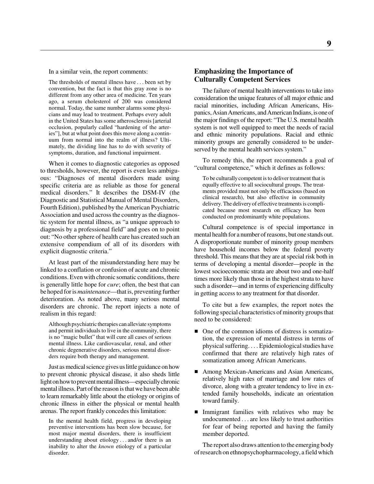In a similar vein, the report comments:

The thresholds of mental illness have . . . been set by convention, but the fact is that this gray zone is no different from any other area of medicine. Ten years ago, a serum cholesterol of 200 was considered normal. Today, the same number alarms some physicians and may lead to treatment. Perhaps every adult in the United States has some atherosclerosis [arterial occlusion, popularly called "hardening of the arteries"], but at what point does this move along a continuum from normal into the realm of illness? Ultimately, the dividing line has to do with severity of symptoms, duration, and functional impairment.

When it comes to diagnostic categories as opposed to thresholds, however, the report is even less ambiguous: "Diagnoses of mental disorders made using specific criteria are as reliable as those for general medical disorders." It describes the DSM-IV (the Diagnostic and Statistical Manual of Mental Disorders, Fourth Edition), published by the American Psychiatric Association and used across the country as the diagnostic system for mental illness, as "a unique approach to diagnosis by a professional field" and goes on to point out: "No other sphere of health care has created such an extensive compendium of all of its disorders with explicit diagnostic criteria."

At least part of the misunderstanding here may be linked to a conflation or confusion of acute and chronic conditions. Even with chronic somatic conditions, there is generally little hope for *cure*; often, the best that can be hoped for is *maintenance*—that is, preventing further deterioration. As noted above, many serious mental disorders are chronic. The report injects a note of realism in this regard:

Although psychiatric therapies can alleviate symptoms and permit individuals to live in the community, there is no "magic bullet" that will cure all cases of serious mental illness. Like cardiovascular, renal, and other chronic degenerative disorders, serious mental disorders require both therapy and management.

Just as medical science gives us little guidance on how to prevent chronic physical disease, it also sheds little light on how to prevent mental illness—especially chronic mental illness. Part of the reason is that we have been able to learn remarkably little about the etiology or origins of chronic illness in either the physical or mental health arenas. The report frankly concedes this limitation:

In the mental health field, progress in developing preventive interventions has been slow because, for most major mental disorders, there is insufficient understanding about etiology . . . and/or there is an inability to alter the *known* etiology of a particular disorder.

# **Emphasizing the Importance of Culturally Competent Services**

The failure of mental health interventions to take into consideration the unique features of all major ethnic and racial minorities, including African Americans, Hispanics, Asian Americans, and American Indians, is one of the major findings of the report: "The U.S. mental health system is not well equipped to meet the needs of racial and ethnic minority populations. Racial and ethnic minority groups are generally considered to be underserved by the mental health services system."

To remedy this, the report recommends a goal of "cultural competence," which it defines as follows:

To be culturally competent is to deliver treatment that is equally effective to all sociocultural groups. The treatments provided must not only be efficacious (based on clinical research), but also effective in community delivery. The delivery of effective treatments is complicated because most research on efficacy has been conducted on predominantly white populations.

Cultural competence is of special importance in mental health for a number of reasons, but one stands out. A disproportionate number of minority group members have household incomes below the federal poverty threshold. This means that they are at special risk both in terms of developing a mental disorder—people in the lowest socioeconomic strata are about two and one-half times more likely than those in the highest strata to have such a disorder—and in terms of experiencing difficulty in getting access to any treatment for that disorder.

To cite but a few examples, the report notes the following special characteristics of minority groups that need to be considered:

- One of the common idioms of distress is somatization, the expression of mental distress in terms of physical suffering. . . . Epidemiological studies have confirmed that there are relatively high rates of somatization among African Americans.
- Among Mexican-Americans and Asian Americans, relatively high rates of marriage and low rates of divorce, along with a greater tendency to live in extended family households, indicate an orientation toward family.
- Immigrant families with relatives who may be undocumented . . . are less likely to trust authorities for fear of being reported and having the family member deported.

The report also draws attention to the emerging body of research on ethnopsychopharmacology, a field which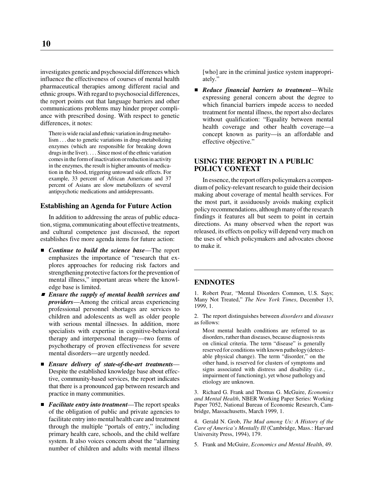investigates genetic and psychosocial differences which influence the effectiveness of courses of mental health pharmaceutical therapies among different racial and ethnic groups. With regard to psychosocial differences, the report points out that language barriers and other communications problems may hinder proper compliance with prescribed dosing. With respect to genetic differences, it notes:

There is wide racial and ethnic variation in drug metabolism . . . due to genetic variations in drug-metabolizing enzymes (which are responsible for breaking down drugs in the liver). . . . Since most of the ethnic variation comes in the form of inactivation or reduction in activity in the enzymes, the result is higher amounts of medication in the blood, triggering untoward side effects. For example, 33 percent of African Americans and 37 percent of Asians are slow metabolizers of several antipsychotic medications and antidepressants.

#### **Establishing an Agenda for Future Action**

In addition to addressing the areas of public education, stigma, communicating about effective treatments, and cultural competence just discussed, the report establishes five more agenda items for future action:

- *Continue to build the science base*—The report emphasizes the importance of "research that explores approaches for reducing risk factors and strengthening protective factors for the prevention of mental illness," important areas where the knowledge base is limited.
- *Ensure the supply of mental health services and providers*—Among the critical areas experiencing professional personnel shortages are services to children and adolescents as well as older people with serious mental illnesses. In addition, more specialists with expertise in cognitive-behavioral therapy and interpersonal therapy—two forms of psychotherapy of proven effectiveness for severe mental disorders—are urgently needed.
- *Ensure delivery of state-of-the-art treatments* Despite the established knowledge base about effective, community-based services, the report indicates that there is a pronounced gap between research and practice in many communities.
- *Facilitate entry into treatment*—The report speaks of the obligation of public and private agencies to facilitate entry into mental health care and treatment through the multiple "portals of entry," including primary health care, schools, and the child welfare system. It also voices concern about the "alarming number of children and adults with mental illness

[who] are in the criminal justice system inappropriately."

 *Reduce financial barriers to treatment*—While expressing general concern about the degree to which financial barriers impede access to needed treatment for mental illness, the report also declares without qualification: "Equality between mental health coverage and other health coverage—a concept known as parity—is an affordable and effective objective."

### **USING THE REPORT IN A PUBLIC POLICY CONTEXT**

In essence, the report offers policymakers a compendium of policy-relevant research to guide their decision making about coverage of mental health services. For the most part, it assiduously avoids making explicit policy recommendations, although many of the research findings it features all but seem to point in certain directions. As many observed when the report was released, its effects on policy will depend very much on the uses of which policymakers and advocates choose to make it.

### **ENDNOTES**

1. Robert Pear, "Mental Disorders Common, U.S. Says; Many Not Treated," *The New York Times*, December 13, 1999, 1.

2. The report distinguishes between *disorders* and *diseases* as follows:

Most mental health conditions are referred to as disorders, rather than diseases, because diagnosis rests on clinical criteria. The term "disease" is generally reserved for conditions with known pathology (detectable physical change). The term "disorder," on the other hand, is reserved for clusters of symptoms and signs associated with distress and disability (i.e., impairment of functioning), yet whose pathology and etiology are unknown.

3. Richard G. Frank and Thomas G. McGuire, *Economics and Mental Health*, NBER Working Paper Series: Working Paper 7052, National Bureau of Economic Research, Cambridge, Massachusetts, March 1999, 1.

4. Gerald N. Grob, *The Mad among Us: A History of the Care of America's Mentally Ill* (Cambridge, Mass.: Harvard University Press, 1994), 179.

5. Frank and McGuire, *Economics and Mental Health*, 49.